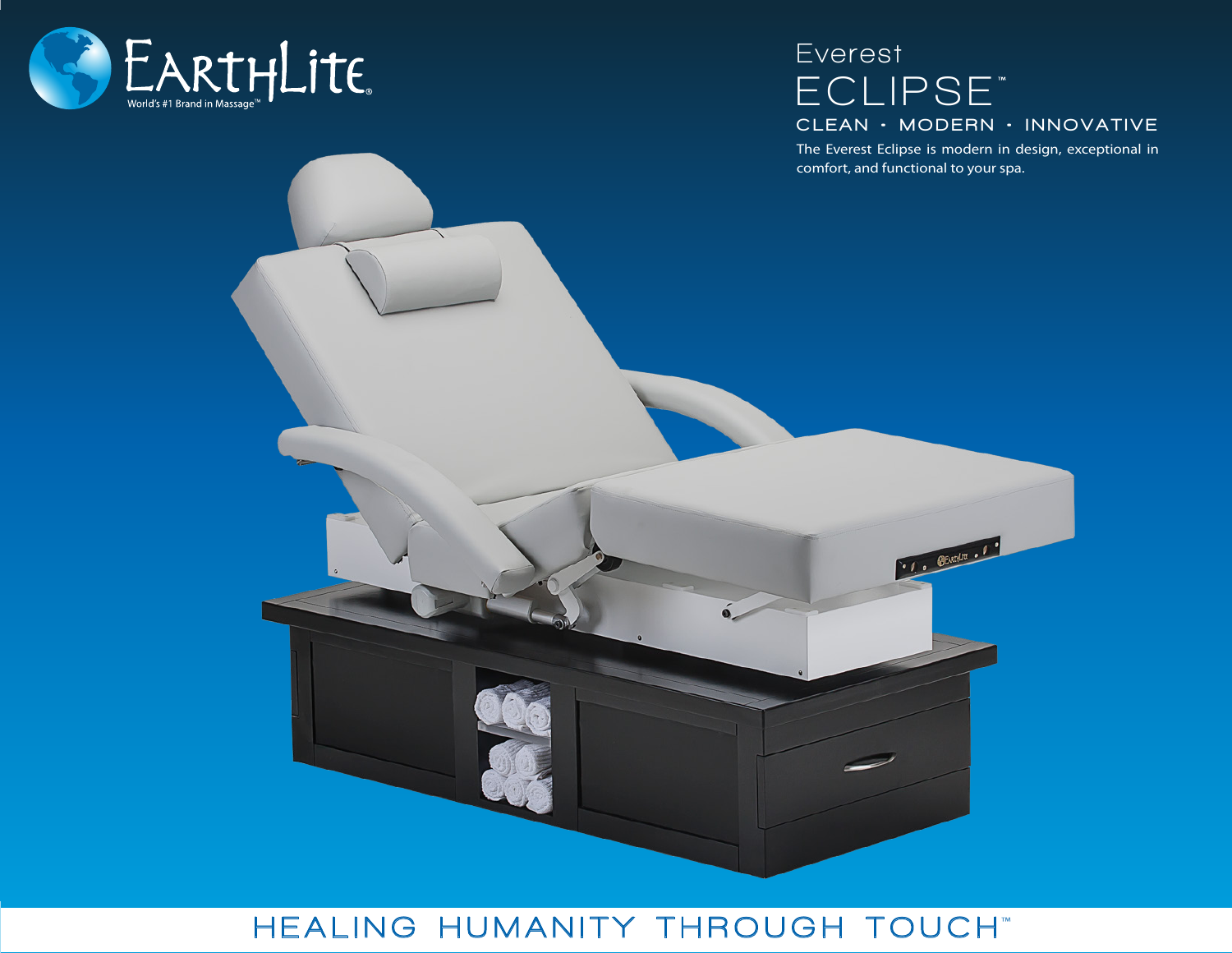

## **ECLIPSE Everest** CLEAN • MODERN • INNOVATIVE

The Everest Eclipse is modern in design, exceptional in comfort, and functional to your spa.

· C. SEARCH . C